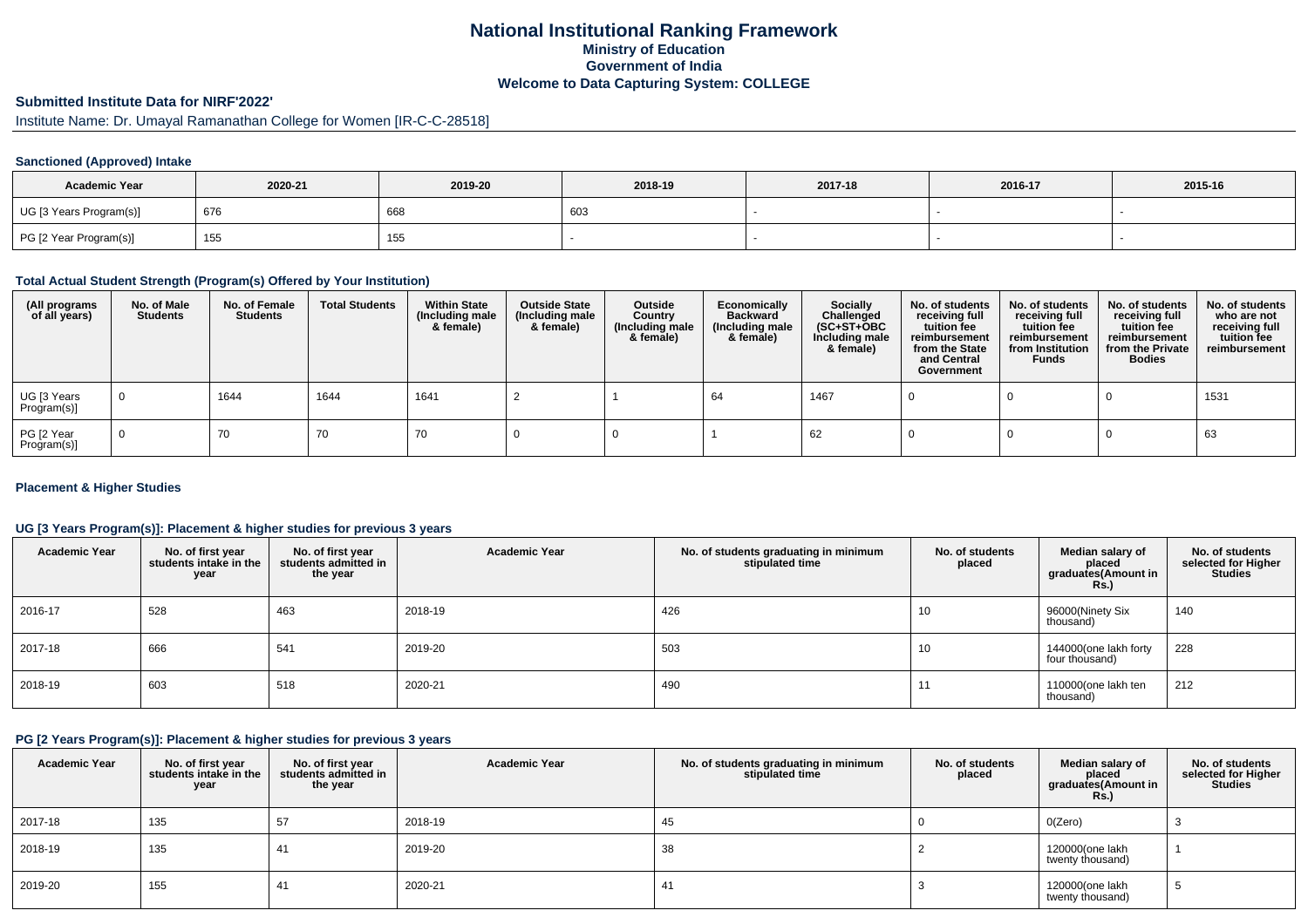# **National Institutional Ranking FrameworkMinistry of Education Government of IndiaWelcome to Data Capturing System: COLLEGE**

# **Submitted Institute Data for NIRF'2022'**

Institute Name: Dr. Umayal Ramanathan College for Women [IR-C-C-28518]

## **Sanctioned (Approved) Intake**

| <b>Academic Year</b>    | 2020-21 | 2019-20 | 2018-19 | 2017-18 | 2016-17 | 2015-16 |
|-------------------------|---------|---------|---------|---------|---------|---------|
| UG [3 Years Program(s)] | 676     | 668     | 603     |         |         |         |
| PG [2 Year Program(s)]  | 155     | 155     |         |         |         |         |

## **Total Actual Student Strength (Program(s) Offered by Your Institution)**

| (All programs<br>of all years) | No. of Male<br><b>Students</b> | No. of Female<br><b>Students</b> | <b>Total Students</b> | <b>Within State</b><br>(Including male<br>& female) | <b>Outside State</b><br>(Including male<br>& female) | Outside<br>Country<br>(Including male<br>& female) | Economically<br><b>Backward</b><br>(Including male<br>& female) | <b>Socially</b><br>Challenged<br>$(SC+ST+OBC)$<br>Including male<br>& female) | No. of students<br>receiving full<br>tuition fee<br>reimbursement<br>from the State<br>and Central<br>Government | No. of students<br>receiving full<br>tuition fee<br>reimbursement<br>from Institution<br><b>Funds</b> | No. of students<br>receiving full<br>tuition fee<br>reimbursement<br>from the Private<br><b>Bodies</b> | No. of students<br>who are not<br>receiving full<br>tuition fee<br>reimbursement |
|--------------------------------|--------------------------------|----------------------------------|-----------------------|-----------------------------------------------------|------------------------------------------------------|----------------------------------------------------|-----------------------------------------------------------------|-------------------------------------------------------------------------------|------------------------------------------------------------------------------------------------------------------|-------------------------------------------------------------------------------------------------------|--------------------------------------------------------------------------------------------------------|----------------------------------------------------------------------------------|
| UG [3 Years<br>Program(s)]     | $\overline{0}$                 | 1644                             | 1644                  | 1641                                                |                                                      |                                                    | 64                                                              | 1467                                                                          |                                                                                                                  |                                                                                                       |                                                                                                        | 1531                                                                             |
| PG [2 Year<br>Program(s)]      | $\Omega$                       | 70                               | 70                    | 70                                                  |                                                      |                                                    |                                                                 | 62                                                                            |                                                                                                                  |                                                                                                       |                                                                                                        | 63                                                                               |

## **Placement & Higher Studies**

## **UG [3 Years Program(s)]: Placement & higher studies for previous 3 years**

| <b>Academic Year</b> | No. of first year<br>students intake in the<br>year | No. of first year<br>students admitted in<br>the year | <b>Academic Year</b> | No. of students graduating in minimum<br>stipulated time | No. of students<br>placed | Median salary of<br>placed<br>graduates(Amount in<br><b>Rs.)</b> | No. of students<br>selected for Higher<br><b>Studies</b> |
|----------------------|-----------------------------------------------------|-------------------------------------------------------|----------------------|----------------------------------------------------------|---------------------------|------------------------------------------------------------------|----------------------------------------------------------|
| 2016-17              | 528                                                 | 463                                                   | 2018-19              | 426                                                      | 10                        | 96000(Ninety Six<br>thousand)                                    | 140                                                      |
| 2017-18              | 666                                                 | 541                                                   | 2019-20              | 503                                                      | 10                        | 144000(one lakh forty<br>four thousand)                          | 228                                                      |
| 2018-19              | 603                                                 | 518                                                   | 2020-21              | 490                                                      | 11                        | 110000(one lakh ten<br>thousand)                                 | 212                                                      |

#### **PG [2 Years Program(s)]: Placement & higher studies for previous 3 years**

| <b>Academic Year</b> | No. of first year<br>students intake in the<br>year | No. of first year<br>students admitted in<br>the year | <b>Academic Year</b> | No. of students graduating in minimum<br>stipulated time | No. of students<br>placed | Median salary of<br>placed<br>graduates(Amount in<br><b>Rs.)</b> | No. of students<br>selected for Higher<br><b>Studies</b> |
|----------------------|-----------------------------------------------------|-------------------------------------------------------|----------------------|----------------------------------------------------------|---------------------------|------------------------------------------------------------------|----------------------------------------------------------|
| 2017-18              | 135                                                 | 57                                                    | 2018-19              | 45                                                       |                           | O(Zero)                                                          |                                                          |
| 2018-19              | 135                                                 | 41                                                    | 2019-20              | 38                                                       |                           | 120000(one lakh<br>twenty thousand)                              |                                                          |
| 2019-20              | 155                                                 | 41                                                    | 2020-21              | 41                                                       |                           | 120000(one lakh<br>twenty thousand)                              | ◡                                                        |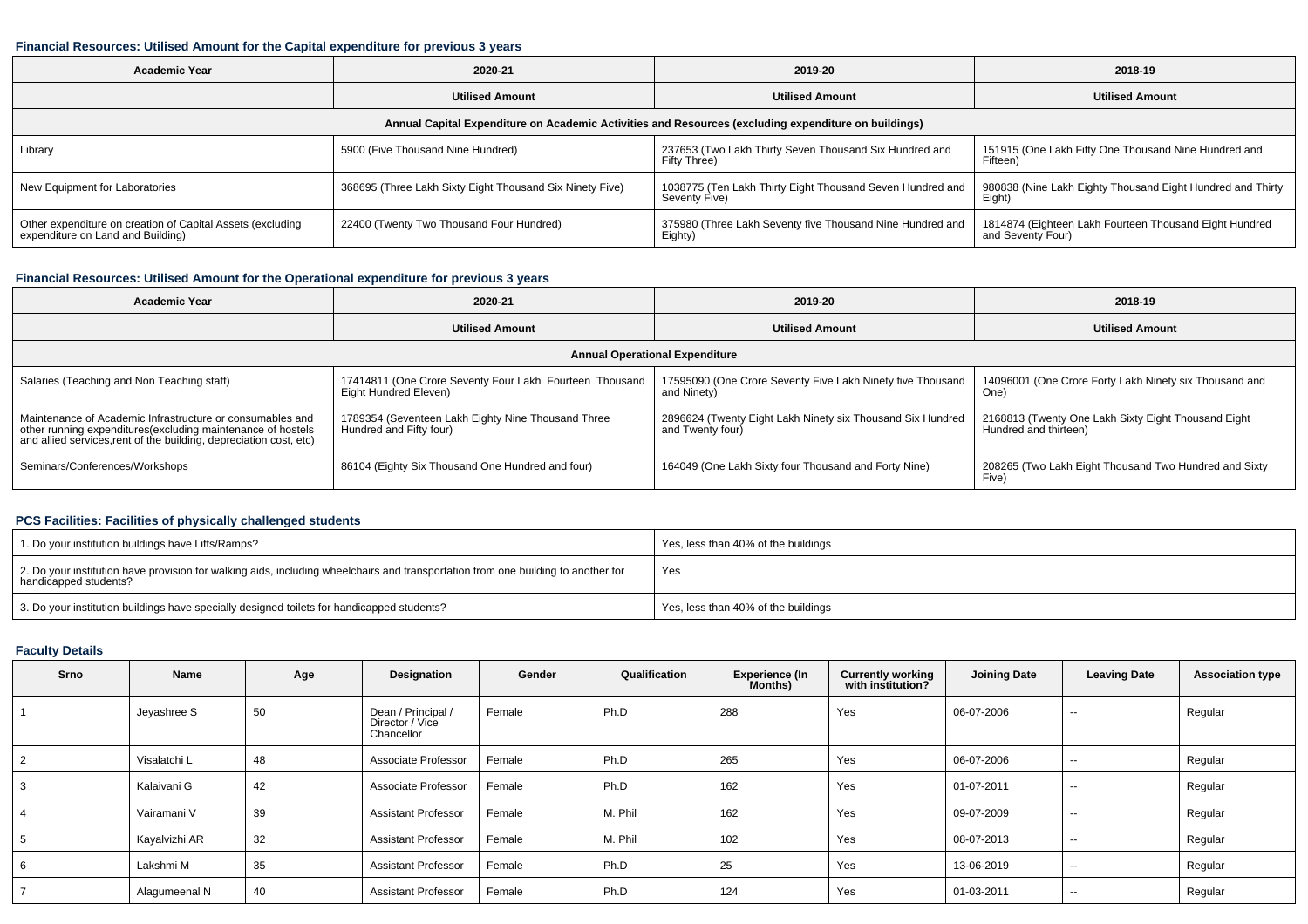#### **Financial Resources: Utilised Amount for the Capital expenditure for previous 3 years**

| <b>Academic Year</b>                                                                            | 2020-21                                                                                              | 2019-20                                                                    | 2018-19                                                                     |  |  |  |  |  |  |  |  |  |
|-------------------------------------------------------------------------------------------------|------------------------------------------------------------------------------------------------------|----------------------------------------------------------------------------|-----------------------------------------------------------------------------|--|--|--|--|--|--|--|--|--|
|                                                                                                 | <b>Utilised Amount</b>                                                                               | <b>Utilised Amount</b>                                                     | <b>Utilised Amount</b>                                                      |  |  |  |  |  |  |  |  |  |
|                                                                                                 | Annual Capital Expenditure on Academic Activities and Resources (excluding expenditure on buildings) |                                                                            |                                                                             |  |  |  |  |  |  |  |  |  |
| Library                                                                                         | 5900 (Five Thousand Nine Hundred)                                                                    | 237653 (Two Lakh Thirty Seven Thousand Six Hundred and<br>Fifty Three)     | 151915 (One Lakh Fifty One Thousand Nine Hundred and<br>Fifteen)            |  |  |  |  |  |  |  |  |  |
| New Equipment for Laboratories                                                                  | 368695 (Three Lakh Sixty Eight Thousand Six Ninety Five)                                             | 1038775 (Ten Lakh Thirty Eight Thousand Seven Hundred and<br>Seventy Five) | 980838 (Nine Lakh Eighty Thousand Eight Hundred and Thirty<br>Eight)        |  |  |  |  |  |  |  |  |  |
| Other expenditure on creation of Capital Assets (excluding<br>expenditure on Land and Building) | 22400 (Twenty Two Thousand Four Hundred)                                                             | 375980 (Three Lakh Seventy five Thousand Nine Hundred and<br>Eighty)       | 1814874 (Eighteen Lakh Fourteen Thousand Eight Hundred<br>and Seventy Four) |  |  |  |  |  |  |  |  |  |

## **Financial Resources: Utilised Amount for the Operational expenditure for previous 3 years**

| <b>Academic Year</b>                                                                                                                                                                            | 2020-21                                                                          | 2019-20                                                                        | 2018-19                                                                      |  |  |  |  |  |  |  |
|-------------------------------------------------------------------------------------------------------------------------------------------------------------------------------------------------|----------------------------------------------------------------------------------|--------------------------------------------------------------------------------|------------------------------------------------------------------------------|--|--|--|--|--|--|--|
|                                                                                                                                                                                                 | <b>Utilised Amount</b>                                                           | <b>Utilised Amount</b>                                                         | <b>Utilised Amount</b>                                                       |  |  |  |  |  |  |  |
| <b>Annual Operational Expenditure</b>                                                                                                                                                           |                                                                                  |                                                                                |                                                                              |  |  |  |  |  |  |  |
| Salaries (Teaching and Non Teaching staff)                                                                                                                                                      | 17414811 (One Crore Seventy Four Lakh Fourteen Thousand<br>Eight Hundred Eleven) | 17595090 (One Crore Seventy Five Lakh Ninety five Thousand<br>and Ninety)      | 14096001 (One Crore Forty Lakh Ninety six Thousand and<br>One)               |  |  |  |  |  |  |  |
| Maintenance of Academic Infrastructure or consumables and<br>other running expenditures (excluding maintenance of hostels<br>and allied services, rent of the building, depreciation cost, etc) | 1789354 (Seventeen Lakh Eighty Nine Thousand Three<br>Hundred and Fifty four)    | 2896624 (Twenty Eight Lakh Ninety six Thousand Six Hundred<br>and Twenty four) | 2168813 (Twenty One Lakh Sixty Eight Thousand Eight<br>Hundred and thirteen) |  |  |  |  |  |  |  |
| Seminars/Conferences/Workshops                                                                                                                                                                  | 86104 (Eighty Six Thousand One Hundred and four)                                 | 164049 (One Lakh Sixty four Thousand and Forty Nine)                           | 208265 (Two Lakh Eight Thousand Two Hundred and Sixty<br>Five)               |  |  |  |  |  |  |  |

## **PCS Facilities: Facilities of physically challenged students**

| 1. Do your institution buildings have Lifts/Ramps?                                                                                                         | Yes, less than 40% of the buildings |
|------------------------------------------------------------------------------------------------------------------------------------------------------------|-------------------------------------|
| 2. Do your institution have provision for walking aids, including wheelchairs and transportation from one building to another for<br>handicapped students? | Yes                                 |
| 3. Do your institution buildings have specially designed toilets for handicapped students?                                                                 | Yes, less than 40% of the buildings |

## **Faculty Details**

| Srno | Name          | Age | Designation                                         | Gender | Qualification | <b>Experience (In</b><br>Months) | <b>Currently working</b><br>with institution? | <b>Joining Date</b> | <b>Leaving Date</b>      | <b>Association type</b> |
|------|---------------|-----|-----------------------------------------------------|--------|---------------|----------------------------------|-----------------------------------------------|---------------------|--------------------------|-------------------------|
|      | Jeyashree S   | 50  | Dean / Principal /<br>Director / Vice<br>Chancellor | Female | Ph.D          | 288                              | Yes                                           | 06-07-2006          | $\sim$                   | Regular                 |
|      | Visalatchi L  | 48  | Associate Professor                                 | Female | Ph.D          | 265                              | Yes                                           | 06-07-2006          | $\overline{\phantom{a}}$ | Regular                 |
|      | Kalaivani G   | 42  | Associate Professor                                 | Female | Ph.D          | 162                              | Yes                                           | 01-07-2011          | $\sim$                   | Regular                 |
|      | Vairamani V   | 39  | <b>Assistant Professor</b>                          | Female | M. Phil       | 162                              | Yes                                           | 09-07-2009          | $\sim$                   | Regular                 |
|      | Kayalvizhi AR | 32  | <b>Assistant Professor</b>                          | Female | M. Phil       | 102                              | Yes                                           | 08-07-2013          | $\overline{\phantom{a}}$ | Regular                 |
|      | Lakshmi M     | 35  | <b>Assistant Professor</b>                          | Female | Ph.D          | 25                               | Yes                                           | 13-06-2019          | $\overline{\phantom{a}}$ | Regular                 |
|      | Alagumeenal N | 40  | <b>Assistant Professor</b>                          | Female | Ph.D          | 124                              | Yes                                           | 01-03-2011          | $\sim$                   | Regular                 |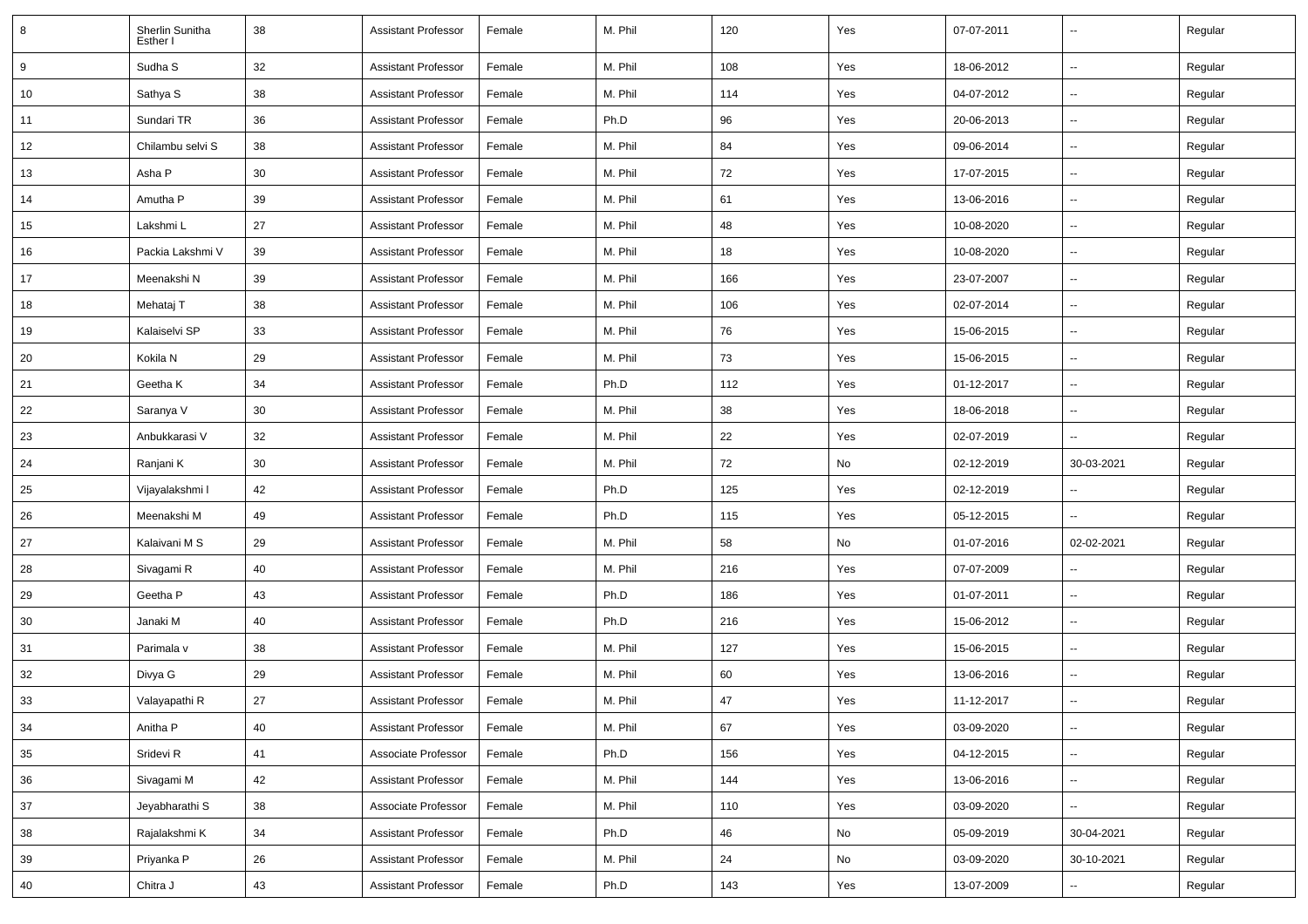| 8  | Sherlin Sunitha<br>Esther I | 38 | <b>Assistant Professor</b> | Female | M. Phil | 120 | Yes | 07-07-2011 | ۰.                       | Regular |
|----|-----------------------------|----|----------------------------|--------|---------|-----|-----|------------|--------------------------|---------|
| 9  | Sudha <sub>S</sub>          | 32 | <b>Assistant Professor</b> | Female | M. Phil | 108 | Yes | 18-06-2012 | $\overline{\phantom{a}}$ | Regular |
| 10 | Sathya S                    | 38 | <b>Assistant Professor</b> | Female | M. Phil | 114 | Yes | 04-07-2012 | --                       | Regular |
| 11 | Sundari TR                  | 36 | Assistant Professor        | Female | Ph.D    | 96  | Yes | 20-06-2013 | $\overline{a}$           | Regular |
| 12 | Chilambu selvi S            | 38 | <b>Assistant Professor</b> | Female | M. Phil | 84  | Yes | 09-06-2014 | --                       | Regular |
| 13 | Asha P                      | 30 | <b>Assistant Professor</b> | Female | M. Phil | 72  | Yes | 17-07-2015 | $\overline{a}$           | Regular |
| 14 | Amutha P                    | 39 | Assistant Professor        | Female | M. Phil | 61  | Yes | 13-06-2016 | $\overline{\phantom{a}}$ | Regular |
| 15 | Lakshmi L                   | 27 | Assistant Professor        | Female | M. Phil | 48  | Yes | 10-08-2020 | $\overline{\phantom{a}}$ | Regular |
| 16 | Packia Lakshmi V            | 39 | <b>Assistant Professor</b> | Female | M. Phil | 18  | Yes | 10-08-2020 | --                       | Regular |
| 17 | Meenakshi N                 | 39 | Assistant Professor        | Female | M. Phil | 166 | Yes | 23-07-2007 | $\overline{\phantom{a}}$ | Regular |
| 18 | Mehataj T                   | 38 | <b>Assistant Professor</b> | Female | M. Phil | 106 | Yes | 02-07-2014 | --                       | Regular |
| 19 | Kalaiselvi SP               | 33 | <b>Assistant Professor</b> | Female | M. Phil | 76  | Yes | 15-06-2015 | $\overline{a}$           | Regular |
| 20 | Kokila N                    | 29 | Assistant Professor        | Female | M. Phil | 73  | Yes | 15-06-2015 | $\overline{\phantom{a}}$ | Regular |
| 21 | Geetha K                    | 34 | Assistant Professor        | Female | Ph.D    | 112 | Yes | 01-12-2017 | --                       | Regular |
| 22 | Saranya V                   | 30 | <b>Assistant Professor</b> | Female | M. Phil | 38  | Yes | 18-06-2018 | --                       | Regular |
| 23 | Anbukkarasi V               | 32 | Assistant Professor        | Female | M. Phil | 22  | Yes | 02-07-2019 | $\overline{a}$           | Regular |
| 24 | Ranjani K                   | 30 | <b>Assistant Professor</b> | Female | M. Phil | 72  | No  | 02-12-2019 | 30-03-2021               | Regular |
| 25 | Vijayalakshmi I             | 42 | <b>Assistant Professor</b> | Female | Ph.D    | 125 | Yes | 02-12-2019 |                          | Regular |
| 26 | Meenakshi M                 | 49 | Assistant Professor        | Female | Ph.D    | 115 | Yes | 05-12-2015 | u.                       | Regular |
| 27 | Kalaivani M S               | 29 | Assistant Professor        | Female | M. Phil | 58  | No  | 01-07-2016 | 02-02-2021               | Regular |
| 28 | Sivagami R                  | 40 | Assistant Professor        | Female | M. Phil | 216 | Yes | 07-07-2009 | ۰.                       | Regular |
| 29 | Geetha P                    | 43 | Assistant Professor        | Female | Ph.D    | 186 | Yes | 01-07-2011 | u.                       | Regular |
| 30 | Janaki M                    | 40 | Assistant Professor        | Female | Ph.D    | 216 | Yes | 15-06-2012 | --                       | Regular |
| 31 | Parimala v                  | 38 | <b>Assistant Professor</b> | Female | M. Phil | 127 | Yes | 15-06-2015 | --                       | Regular |
| 32 | Divya G                     | 29 | <b>Assistant Professor</b> | Female | M. Phil | 60  | Yes | 13-06-2016 | $\overline{\phantom{a}}$ | Regular |
| 33 | Valayapathi R               | 27 | <b>Assistant Professor</b> | Female | M. Phil | 47  | Yes | 11-12-2017 | --                       | Regular |
| 34 | Anitha P                    | 40 | <b>Assistant Professor</b> | Female | M. Phil | 67  | Yes | 03-09-2020 | Ξ.                       | Regular |
| 35 | Sridevi R                   | 41 | Associate Professor        | Female | Ph.D    | 156 | Yes | 04-12-2015 | Ξ.                       | Regular |
| 36 | Sivagami M                  | 42 | <b>Assistant Professor</b> | Female | M. Phil | 144 | Yes | 13-06-2016 | --                       | Regular |
| 37 | Jeyabharathi S              | 38 | Associate Professor        | Female | M. Phil | 110 | Yes | 03-09-2020 | Ξ.                       | Regular |
| 38 | Rajalakshmi K               | 34 | <b>Assistant Professor</b> | Female | Ph.D    | 46  | No  | 05-09-2019 | 30-04-2021               | Regular |
| 39 | Priyanka P                  | 26 | <b>Assistant Professor</b> | Female | M. Phil | 24  | No  | 03-09-2020 | 30-10-2021               | Regular |
| 40 | Chitra J                    | 43 | <b>Assistant Professor</b> | Female | Ph.D    | 143 | Yes | 13-07-2009 | --                       | Regular |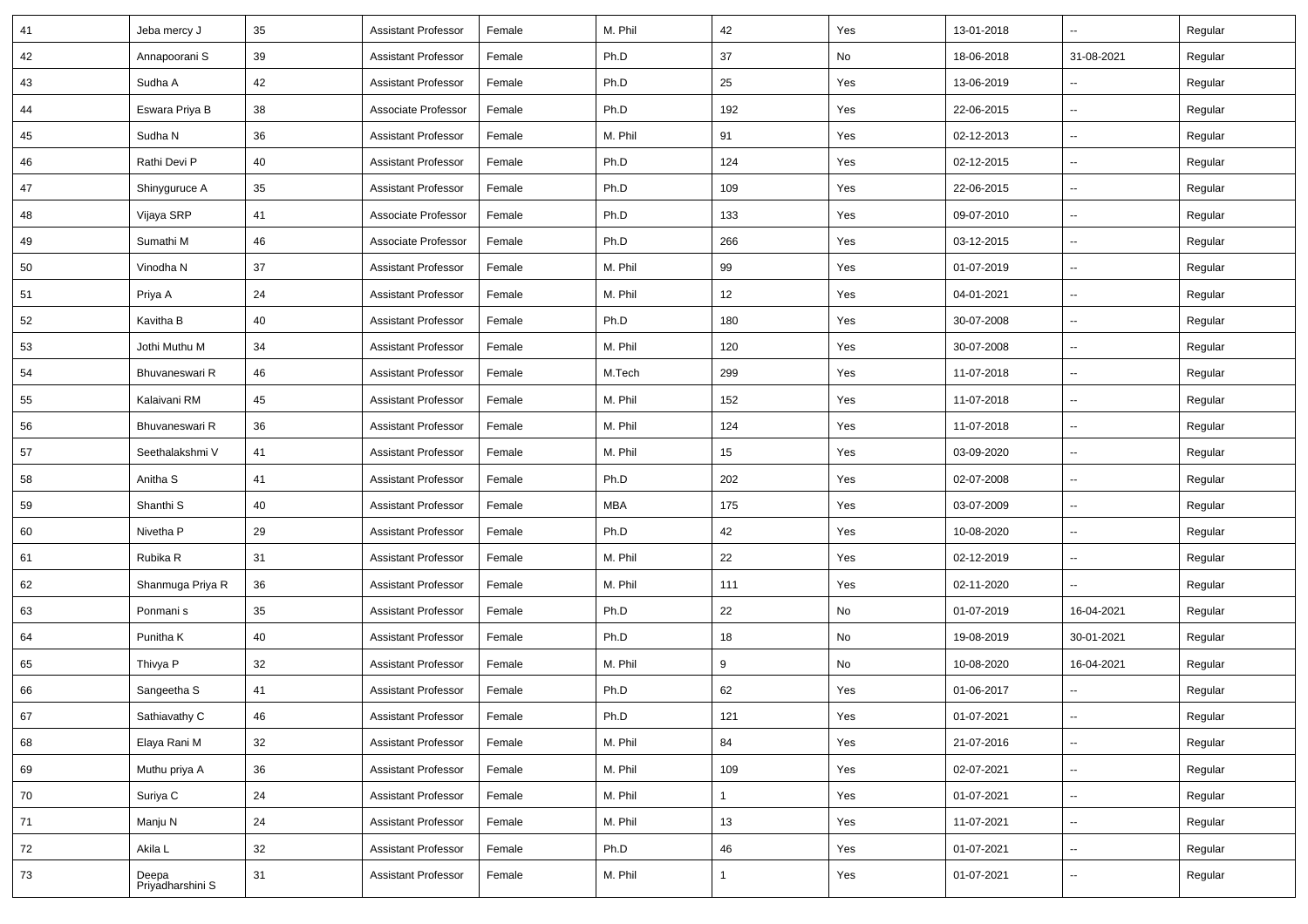| 41 | Jeba mercy J              | 35 | <b>Assistant Professor</b> | Female | M. Phil    | 42           | Yes | 13-01-2018 | $\sim$                   | Regular |
|----|---------------------------|----|----------------------------|--------|------------|--------------|-----|------------|--------------------------|---------|
| 42 | Annapoorani S             | 39 | <b>Assistant Professor</b> | Female | Ph.D       | $37\,$       | No  | 18-06-2018 | 31-08-2021               | Regular |
| 43 | Sudha A                   | 42 | <b>Assistant Professor</b> | Female | Ph.D       | 25           | Yes | 13-06-2019 | --                       | Regular |
| 44 | Eswara Priya B            | 38 | Associate Professor        | Female | Ph.D       | 192          | Yes | 22-06-2015 | ш.                       | Regular |
| 45 | Sudha N                   | 36 | <b>Assistant Professor</b> | Female | M. Phil    | 91           | Yes | 02-12-2013 | $\sim$                   | Regular |
| 46 | Rathi Devi P              | 40 | <b>Assistant Professor</b> | Female | Ph.D       | 124          | Yes | 02-12-2015 | $\frac{1}{2}$            | Regular |
| 47 | Shinyguruce A             | 35 | <b>Assistant Professor</b> | Female | Ph.D       | 109          | Yes | 22-06-2015 | $\overline{\phantom{a}}$ | Regular |
| 48 | Vijaya SRP                | 41 | Associate Professor        | Female | Ph.D       | 133          | Yes | 09-07-2010 | $\overline{\phantom{a}}$ | Regular |
| 49 | Sumathi M                 | 46 | Associate Professor        | Female | Ph.D       | 266          | Yes | 03-12-2015 | $\overline{\phantom{a}}$ | Regular |
| 50 | Vinodha N                 | 37 | <b>Assistant Professor</b> | Female | M. Phil    | 99           | Yes | 01-07-2019 | Щ,                       | Regular |
| 51 | Priya A                   | 24 | <b>Assistant Professor</b> | Female | M. Phil    | 12           | Yes | 04-01-2021 | $\sim$                   | Regular |
| 52 | Kavitha B                 | 40 | <b>Assistant Professor</b> | Female | Ph.D       | 180          | Yes | 30-07-2008 | $\sim$                   | Regular |
| 53 | Jothi Muthu M             | 34 | <b>Assistant Professor</b> | Female | M. Phil    | 120          | Yes | 30-07-2008 | $\frac{1}{2}$            | Regular |
| 54 | Bhuvaneswari R            | 46 | <b>Assistant Professor</b> | Female | M.Tech     | 299          | Yes | 11-07-2018 | $\sim$                   | Regular |
| 55 | Kalaivani RM              | 45 | <b>Assistant Professor</b> | Female | M. Phil    | 152          | Yes | 11-07-2018 | $\sim$                   | Regular |
| 56 | Bhuvaneswari R            | 36 | <b>Assistant Professor</b> | Female | M. Phil    | 124          | Yes | 11-07-2018 | $\sim$                   | Regular |
| 57 | Seethalakshmi V           | 41 | <b>Assistant Professor</b> | Female | M. Phil    | 15           | Yes | 03-09-2020 | $\overline{\phantom{a}}$ | Regular |
| 58 | Anitha <sub>S</sub>       | 41 | <b>Assistant Professor</b> | Female | Ph.D       | 202          | Yes | 02-07-2008 | $\sim$                   | Regular |
| 59 | Shanthi <sub>S</sub>      | 40 | <b>Assistant Professor</b> | Female | <b>MBA</b> | 175          | Yes | 03-07-2009 | $\sim$                   | Regular |
| 60 | Nivetha P                 | 29 | <b>Assistant Professor</b> | Female | Ph.D       | 42           | Yes | 10-08-2020 | $\sim$                   | Regular |
| 61 | Rubika R                  | 31 | <b>Assistant Professor</b> | Female | M. Phil    | 22           | Yes | 02-12-2019 | Щ,                       | Regular |
| 62 | Shanmuga Priya R          | 36 | <b>Assistant Professor</b> | Female | M. Phil    | 111          | Yes | 02-11-2020 | $\sim$                   | Regular |
| 63 | Ponmani <sub>s</sub>      | 35 | <b>Assistant Professor</b> | Female | Ph.D       | 22           | No  | 01-07-2019 | 16-04-2021               | Regular |
| 64 | Punitha K                 | 40 | <b>Assistant Professor</b> | Female | Ph.D       | 18           | No  | 19-08-2019 | 30-01-2021               | Regular |
| 65 | Thivya P                  | 32 | <b>Assistant Professor</b> | Female | M. Phil    | 9            | No  | 10-08-2020 | 16-04-2021               | Regular |
| 66 | Sangeetha S               | 41 | <b>Assistant Professor</b> | Female | Ph.D       | 62           | Yes | 01-06-2017 | $\overline{\phantom{a}}$ | Regular |
| 67 | Sathiavathy C             | 46 | <b>Assistant Professor</b> | Female | Ph.D       | 121          | Yes | 01-07-2021 | $\overline{\phantom{a}}$ | Regular |
| 68 | Elaya Rani M              | 32 | <b>Assistant Professor</b> | Female | M. Phil    | 84           | Yes | 21-07-2016 | u.                       | Regular |
| 69 | Muthu priya A             | 36 | <b>Assistant Professor</b> | Female | M. Phil    | 109          | Yes | 02-07-2021 | ш.                       | Regular |
| 70 | Suriya C                  | 24 | <b>Assistant Professor</b> | Female | M. Phil    | $\mathbf{1}$ | Yes | 01-07-2021 | u.                       | Regular |
| 71 | Manju N                   | 24 | <b>Assistant Professor</b> | Female | M. Phil    | 13           | Yes | 11-07-2021 | ш.                       | Regular |
| 72 | Akila L                   | 32 | Assistant Professor        | Female | Ph.D       | 46           | Yes | 01-07-2021 | $\overline{\phantom{a}}$ | Regular |
| 73 | Deepa<br>Priyadharshini S | 31 | <b>Assistant Professor</b> | Female | M. Phil    | $\mathbf{1}$ | Yes | 01-07-2021 | Щ,                       | Regular |